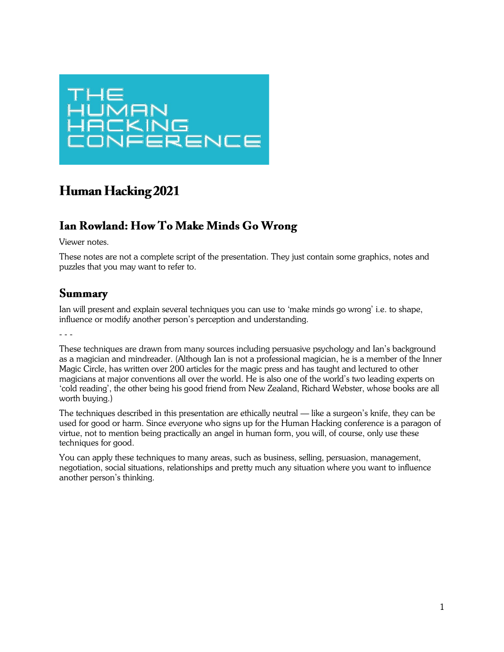

# **Human Hacking 2021**

### Ian Rowland: How To Make Minds Go Wrong

Viewer notes.

These notes are not a complete script of the presentation. They just contain some graphics, notes and puzzles that you may want to refer to.

#### **Summary**

Ian will present and explain several techniques you can use to 'make minds go wrong' i.e. to shape, influence or modify another person's perception and understanding.

These techniques are drawn from many sources including persuasive psychology and Ian's background as a magician and mindreader. (Although Ian is not a professional magician, he is a member of the Inner Magic Circle, has written over 200 articles for the magic press and has taught and lectured to other magicians at major conventions all over the world. He is also one of the world's two leading experts on 'cold reading', the other being his good friend from New Zealand, Richard Webster, whose books are all worth buying.)

The techniques described in this presentation are ethically neutral — like a surgeon's knife, they can be used for good or harm. Since everyone who signs up for the Human Hacking conference is a paragon of virtue, not to mention being practically an angel in human form, you will, of course, only use these techniques for good.

You can apply these techniques to many areas, such as business, selling, persuasion, management, negotiation, social situations, relationships and pretty much any situation where you want to influence another person's thinking.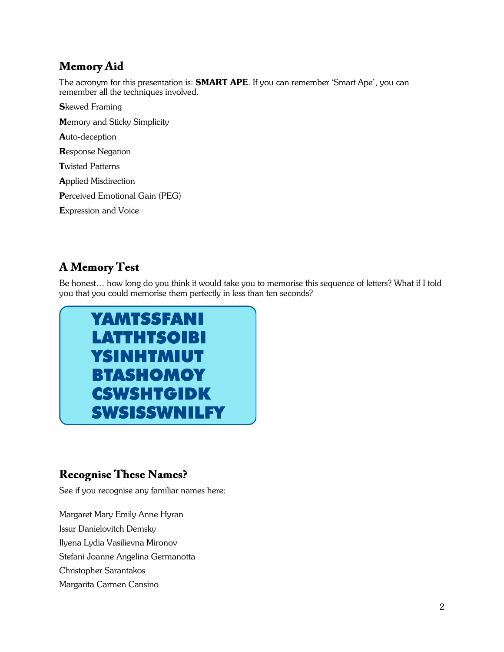## **Memory Aid**

The acronym for this presentation is: **SMART APE**. If you can remember 'Smart Ape', you can remember all the techniques involved.

**S**kewed Framing Memory and Sticky Simplicity Auto-deception Response Negation Twisted Patterns Applied Misdirection Perceived Emotional Gain (PEG) Expression and Voice

# **A Memory Test**

Be honest… how long do you think it would take you to memorise this sequence of letters? What if I told you that you could memorise them perfectly in less than ten seconds?



### **Recognise These Names?**

See if you recognise any familiar names here:

Margaret Mary Emily Anne Hyran Issur Danielovitch Demsky Ilyena Lydia Vasilievna Mironov Stefani Joanne Angelina Germanotta Christopher Sarantakos Margarita Carmen Cansino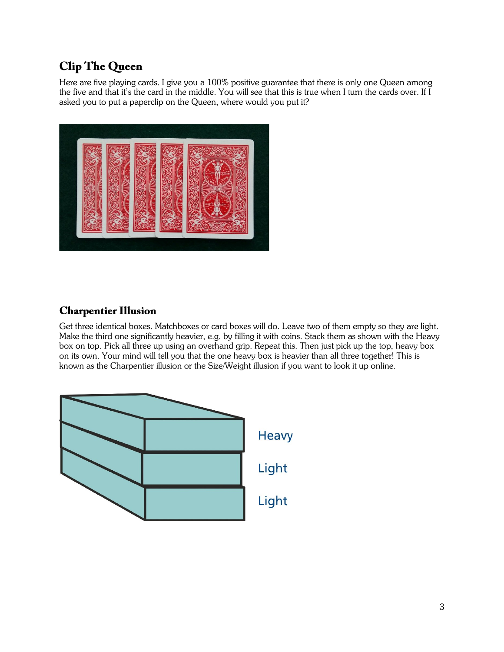## **Clip The Queen**

Here are five playing cards. I give you a 100% positive guarantee that there is only one Queen among the five and that it's the card in the middle. You will see that this is true when I turn the cards over. If I asked you to put a paperclip on the Queen, where would you put it?



### **Charpentier Illusion**

Get three identical boxes. Matchboxes or card boxes will do. Leave two of them empty so they are light. Make the third one significantly heavier, e.g. by filling it with coins. Stack them as shown with the Heavy box on top. Pick all three up using an overhand grip. Repeat this. Then just pick up the top, heavy box on its own. Your mind will tell you that the one heavy box is heavier than all three together! This is known as the Charpentier illusion or the Size/Weight illusion if you want to look it up online.